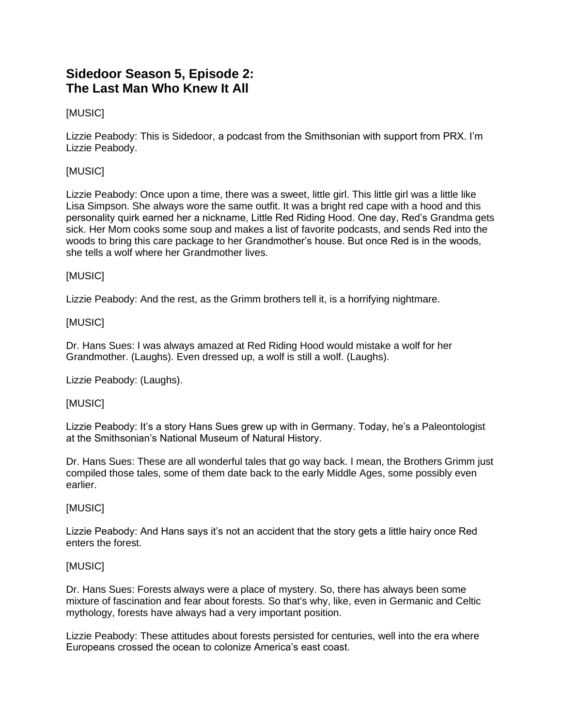# **Sidedoor Season 5, Episode 2: The Last Man Who Knew It All**

# [MUSIC]

Lizzie Peabody: This is Sidedoor, a podcast from the Smithsonian with support from PRX. I'm Lizzie Peabody.

# [MUSIC]

Lizzie Peabody: Once upon a time, there was a sweet, little girl. This little girl was a little like Lisa Simpson. She always wore the same outfit. It was a bright red cape with a hood and this personality quirk earned her a nickname, Little Red Riding Hood. One day, Red's Grandma gets sick. Her Mom cooks some soup and makes a list of favorite podcasts, and sends Red into the woods to bring this care package to her Grandmother's house. But once Red is in the woods, she tells a wolf where her Grandmother lives.

# [MUSIC]

Lizzie Peabody: And the rest, as the Grimm brothers tell it, is a horrifying nightmare.

# [MUSIC]

Dr. Hans Sues: I was always amazed at Red Riding Hood would mistake a wolf for her Grandmother. (Laughs). Even dressed up, a wolf is still a wolf. (Laughs).

Lizzie Peabody: (Laughs).

# [MUSIC]

Lizzie Peabody: It's a story Hans Sues grew up with in Germany. Today, he's a Paleontologist at the Smithsonian's National Museum of Natural History.

Dr. Hans Sues: These are all wonderful tales that go way back. I mean, the Brothers Grimm just compiled those tales, some of them date back to the early Middle Ages, some possibly even earlier.

# [MUSIC]

Lizzie Peabody: And Hans says it's not an accident that the story gets a little hairy once Red enters the forest.

### [MUSIC]

Dr. Hans Sues: Forests always were a place of mystery. So, there has always been some mixture of fascination and fear about forests. So that's why, like, even in Germanic and Celtic mythology, forests have always had a very important position.

Lizzie Peabody: These attitudes about forests persisted for centuries, well into the era where Europeans crossed the ocean to colonize America's east coast.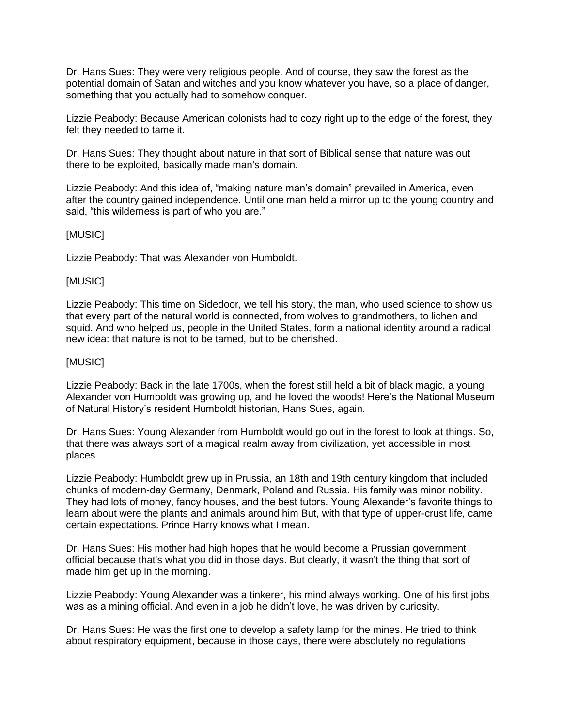Dr. Hans Sues: They were very religious people. And of course, they saw the forest as the potential domain of Satan and witches and you know whatever you have, so a place of danger, something that you actually had to somehow conquer.

Lizzie Peabody: Because American colonists had to cozy right up to the edge of the forest, they felt they needed to tame it.

Dr. Hans Sues: They thought about nature in that sort of Biblical sense that nature was out there to be exploited, basically made man's domain.

Lizzie Peabody: And this idea of, "making nature man's domain" prevailed in America, even after the country gained independence. Until one man held a mirror up to the young country and said, "this wilderness is part of who you are."

### [MUSIC]

Lizzie Peabody: That was Alexander von Humboldt.

### [MUSIC]

Lizzie Peabody: This time on Sidedoor, we tell his story, the man, who used science to show us that every part of the natural world is connected, from wolves to grandmothers, to lichen and squid. And who helped us, people in the United States, form a national identity around a radical new idea: that nature is not to be tamed, but to be cherished.

#### [MUSIC]

Lizzie Peabody: Back in the late 1700s, when the forest still held a bit of black magic, a young Alexander von Humboldt was growing up, and he loved the woods! Here's the National Museum of Natural History's resident Humboldt historian, Hans Sues, again.

Dr. Hans Sues: Young Alexander from Humboldt would go out in the forest to look at things. So, that there was always sort of a magical realm away from civilization, yet accessible in most places

Lizzie Peabody: Humboldt grew up in Prussia, an 18th and 19th century kingdom that included chunks of modern-day Germany, Denmark, Poland and Russia. His family was minor nobility. They had lots of money, fancy houses, and the best tutors. Young Alexander's favorite things to learn about were the plants and animals around him But, with that type of upper-crust life, came certain expectations. Prince Harry knows what I mean.

Dr. Hans Sues: His mother had high hopes that he would become a Prussian government official because that's what you did in those days. But clearly, it wasn't the thing that sort of made him get up in the morning.

Lizzie Peabody: Young Alexander was a tinkerer, his mind always working. One of his first jobs was as a mining official. And even in a job he didn't love, he was driven by curiosity.

Dr. Hans Sues: He was the first one to develop a safety lamp for the mines. He tried to think about respiratory equipment, because in those days, there were absolutely no regulations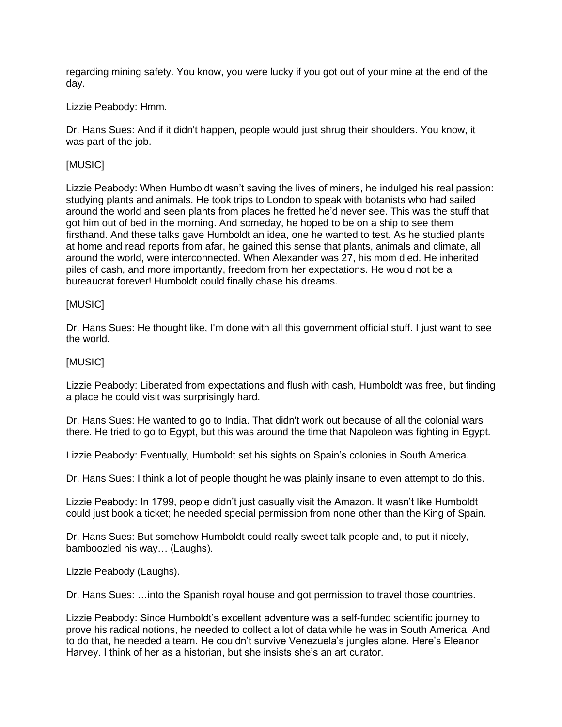regarding mining safety. You know, you were lucky if you got out of your mine at the end of the day.

### Lizzie Peabody: Hmm.

Dr. Hans Sues: And if it didn't happen, people would just shrug their shoulders. You know, it was part of the job.

# [MUSIC]

Lizzie Peabody: When Humboldt wasn't saving the lives of miners, he indulged his real passion: studying plants and animals. He took trips to London to speak with botanists who had sailed around the world and seen plants from places he fretted he'd never see. This was the stuff that got him out of bed in the morning. And someday, he hoped to be on a ship to see them firsthand. And these talks gave Humboldt an idea, one he wanted to test. As he studied plants at home and read reports from afar, he gained this sense that plants, animals and climate, all around the world, were interconnected. When Alexander was 27, his mom died. He inherited piles of cash, and more importantly, freedom from her expectations. He would not be a bureaucrat forever! Humboldt could finally chase his dreams.

### [MUSIC]

Dr. Hans Sues: He thought like, I'm done with all this government official stuff. I just want to see the world.

### [MUSIC]

Lizzie Peabody: Liberated from expectations and flush with cash, Humboldt was free, but finding a place he could visit was surprisingly hard.

Dr. Hans Sues: He wanted to go to India. That didn't work out because of all the colonial wars there. He tried to go to Egypt, but this was around the time that Napoleon was fighting in Egypt.

Lizzie Peabody: Eventually, Humboldt set his sights on Spain's colonies in South America.

Dr. Hans Sues: I think a lot of people thought he was plainly insane to even attempt to do this.

Lizzie Peabody: In 1799, people didn't just casually visit the Amazon. It wasn't like Humboldt could just book a ticket; he needed special permission from none other than the King of Spain.

Dr. Hans Sues: But somehow Humboldt could really sweet talk people and, to put it nicely, bamboozled his way… (Laughs).

Lizzie Peabody (Laughs).

Dr. Hans Sues: …into the Spanish royal house and got permission to travel those countries.

Lizzie Peabody: Since Humboldt's excellent adventure was a self-funded scientific journey to prove his radical notions, he needed to collect a lot of data while he was in South America. And to do that, he needed a team. He couldn't survive Venezuela's jungles alone. Here's Eleanor Harvey. I think of her as a historian, but she insists she's an art curator.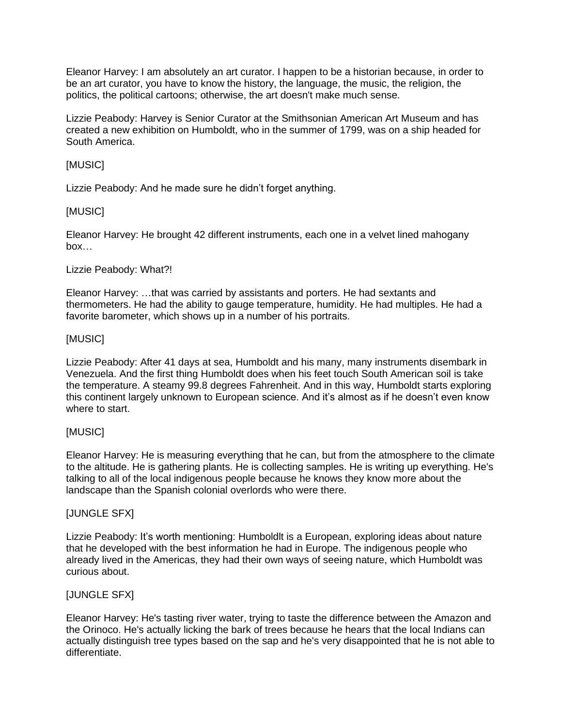Eleanor Harvey: I am absolutely an art curator. I happen to be a historian because, in order to be an art curator, you have to know the history, the language, the music, the religion, the politics, the political cartoons; otherwise, the art doesn't make much sense.

Lizzie Peabody: Harvey is Senior Curator at the Smithsonian American Art Museum and has created a new exhibition on Humboldt, who in the summer of 1799, was on a ship headed for South America.

# [MUSIC]

Lizzie Peabody: And he made sure he didn't forget anything.

# [MUSIC]

Eleanor Harvey: He brought 42 different instruments, each one in a velvet lined mahogany box…

# Lizzie Peabody: What?!

Eleanor Harvey: …that was carried by assistants and porters. He had sextants and thermometers. He had the ability to gauge temperature, humidity. He had multiples. He had a favorite barometer, which shows up in a number of his portraits.

# [MUSIC]

Lizzie Peabody: After 41 days at sea, Humboldt and his many, many instruments disembark in Venezuela. And the first thing Humboldt does when his feet touch South American soil is take the temperature. A steamy 99.8 degrees Fahrenheit. And in this way, Humboldt starts exploring this continent largely unknown to European science. And it's almost as if he doesn't even know where to start.

# [MUSIC]

Eleanor Harvey: He is measuring everything that he can, but from the atmosphere to the climate to the altitude. He is gathering plants. He is collecting samples. He is writing up everything. He's talking to all of the local indigenous people because he knows they know more about the landscape than the Spanish colonial overlords who were there.

# [JUNGLE SFX]

Lizzie Peabody: It's worth mentioning: Humboldlt is a European, exploring ideas about nature that he developed with the best information he had in Europe. The indigenous people who already lived in the Americas, they had their own ways of seeing nature, which Humboldt was curious about.

# [JUNGLE SFX]

Eleanor Harvey: He's tasting river water, trying to taste the difference between the Amazon and the Orinoco. He's actually licking the bark of trees because he hears that the local Indians can actually distinguish tree types based on the sap and he's very disappointed that he is not able to differentiate.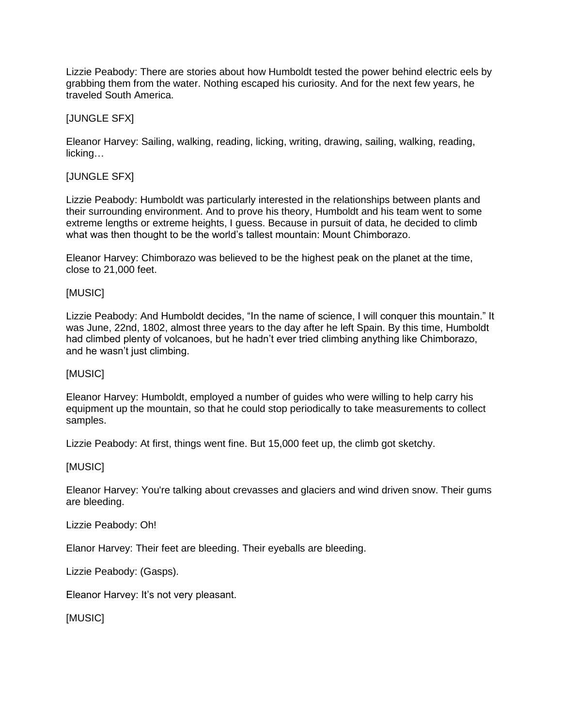Lizzie Peabody: There are stories about how Humboldt tested the power behind electric eels by grabbing them from the water. Nothing escaped his curiosity. And for the next few years, he traveled South America.

### [JUNGLE SFX]

Eleanor Harvey: Sailing, walking, reading, licking, writing, drawing, sailing, walking, reading, licking…

### [JUNGLE SFX]

Lizzie Peabody: Humboldt was particularly interested in the relationships between plants and their surrounding environment. And to prove his theory, Humboldt and his team went to some extreme lengths or extreme heights, I guess. Because in pursuit of data, he decided to climb what was then thought to be the world's tallest mountain: Mount Chimborazo.

Eleanor Harvey: Chimborazo was believed to be the highest peak on the planet at the time, close to 21,000 feet.

### [MUSIC]

Lizzie Peabody: And Humboldt decides, "In the name of science, I will conquer this mountain." It was June, 22nd, 1802, almost three years to the day after he left Spain. By this time, Humboldt had climbed plenty of volcanoes, but he hadn't ever tried climbing anything like Chimborazo, and he wasn't just climbing.

### [MUSIC]

Eleanor Harvey: Humboldt, employed a number of guides who were willing to help carry his equipment up the mountain, so that he could stop periodically to take measurements to collect samples.

Lizzie Peabody: At first, things went fine. But 15,000 feet up, the climb got sketchy.

### [MUSIC]

Eleanor Harvey: You're talking about crevasses and glaciers and wind driven snow. Their gums are bleeding.

Lizzie Peabody: Oh!

Elanor Harvey: Their feet are bleeding. Their eyeballs are bleeding.

Lizzie Peabody: (Gasps).

Eleanor Harvey: It's not very pleasant.

[MUSIC]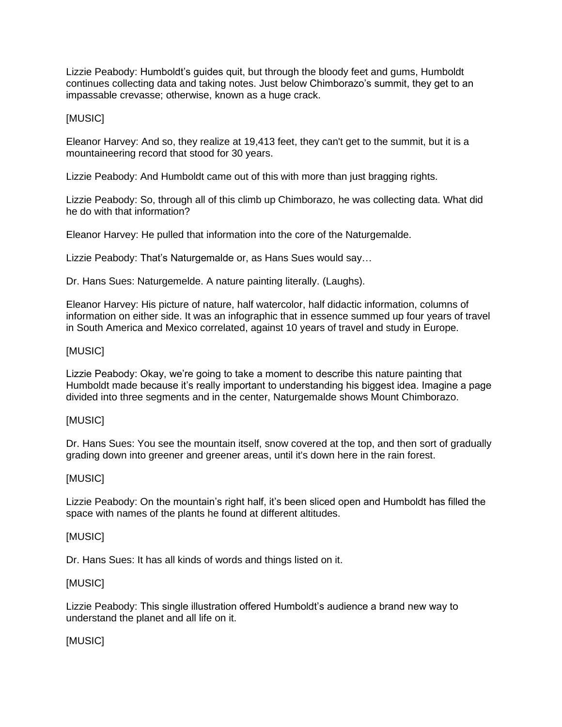Lizzie Peabody: Humboldt's guides quit, but through the bloody feet and gums, Humboldt continues collecting data and taking notes. Just below Chimborazo's summit, they get to an impassable crevasse; otherwise, known as a huge crack.

### [MUSIC]

Eleanor Harvey: And so, they realize at 19,413 feet, they can't get to the summit, but it is a mountaineering record that stood for 30 years.

Lizzie Peabody: And Humboldt came out of this with more than just bragging rights.

Lizzie Peabody: So, through all of this climb up Chimborazo, he was collecting data. What did he do with that information?

Eleanor Harvey: He pulled that information into the core of the Naturgemalde.

Lizzie Peabody: That's Naturgemalde or, as Hans Sues would say…

Dr. Hans Sues: Naturgemelde. A nature painting literally. (Laughs).

Eleanor Harvey: His picture of nature, half watercolor, half didactic information, columns of information on either side. It was an infographic that in essence summed up four years of travel in South America and Mexico correlated, against 10 years of travel and study in Europe.

# [MUSIC]

Lizzie Peabody: Okay, we're going to take a moment to describe this nature painting that Humboldt made because it's really important to understanding his biggest idea. Imagine a page divided into three segments and in the center, Naturgemalde shows Mount Chimborazo.

### [MUSIC]

Dr. Hans Sues: You see the mountain itself, snow covered at the top, and then sort of gradually grading down into greener and greener areas, until it's down here in the rain forest.

### [MUSIC]

Lizzie Peabody: On the mountain's right half, it's been sliced open and Humboldt has filled the space with names of the plants he found at different altitudes.

### [MUSIC]

Dr. Hans Sues: It has all kinds of words and things listed on it.

### [MUSIC]

Lizzie Peabody: This single illustration offered Humboldt's audience a brand new way to understand the planet and all life on it.

# [MUSIC]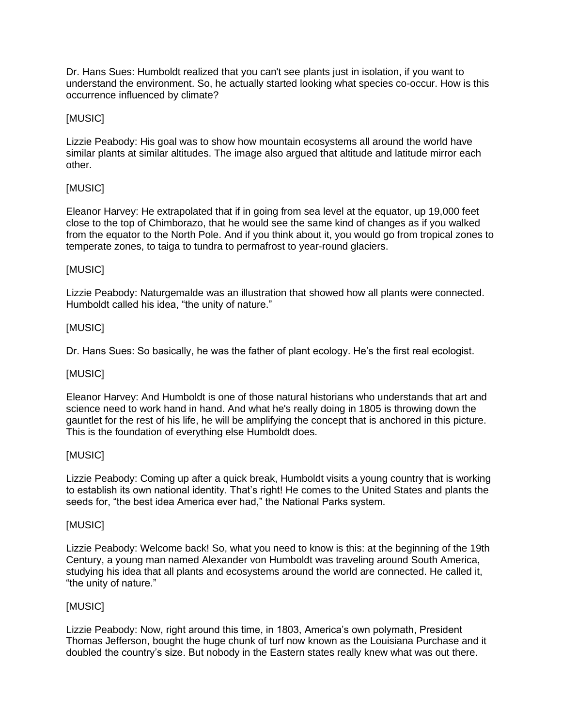Dr. Hans Sues: Humboldt realized that you can't see plants just in isolation, if you want to understand the environment. So, he actually started looking what species co-occur. How is this occurrence influenced by climate?

# [MUSIC]

Lizzie Peabody: His goal was to show how mountain ecosystems all around the world have similar plants at similar altitudes. The image also argued that altitude and latitude mirror each other.

# [MUSIC]

Eleanor Harvey: He extrapolated that if in going from sea level at the equator, up 19,000 feet close to the top of Chimborazo, that he would see the same kind of changes as if you walked from the equator to the North Pole. And if you think about it, you would go from tropical zones to temperate zones, to taiga to tundra to permafrost to year-round glaciers.

### [MUSIC]

Lizzie Peabody: Naturgemalde was an illustration that showed how all plants were connected. Humboldt called his idea, "the unity of nature."

### [MUSIC]

Dr. Hans Sues: So basically, he was the father of plant ecology. He's the first real ecologist.

### [MUSIC]

Eleanor Harvey: And Humboldt is one of those natural historians who understands that art and science need to work hand in hand. And what he's really doing in 1805 is throwing down the gauntlet for the rest of his life, he will be amplifying the concept that is anchored in this picture. This is the foundation of everything else Humboldt does.

### [MUSIC]

Lizzie Peabody: Coming up after a quick break, Humboldt visits a young country that is working to establish its own national identity. That's right! He comes to the United States and plants the seeds for, "the best idea America ever had," the National Parks system.

### [MUSIC]

Lizzie Peabody: Welcome back! So, what you need to know is this: at the beginning of the 19th Century, a young man named Alexander von Humboldt was traveling around South America, studying his idea that all plants and ecosystems around the world are connected. He called it, "the unity of nature."

### [MUSIC]

Lizzie Peabody: Now, right around this time, in 1803, America's own polymath, President Thomas Jefferson, bought the huge chunk of turf now known as the Louisiana Purchase and it doubled the country's size. But nobody in the Eastern states really knew what was out there.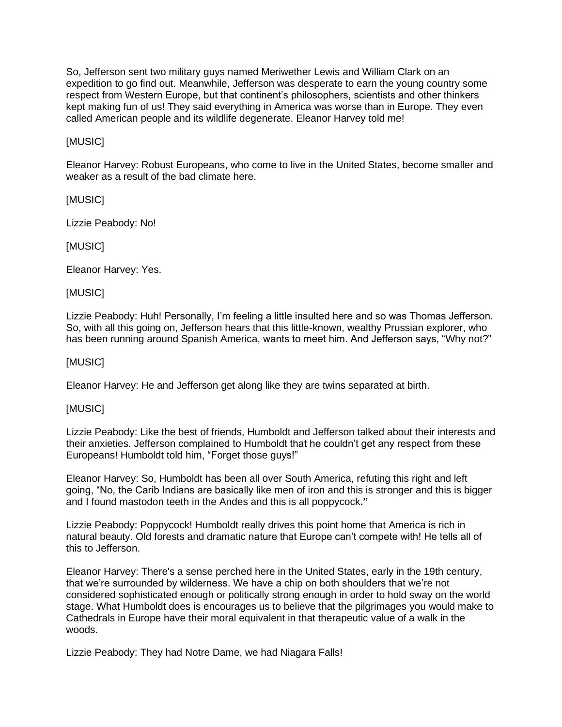So, Jefferson sent two military guys named Meriwether Lewis and William Clark on an expedition to go find out. Meanwhile, Jefferson was desperate to earn the young country some respect from Western Europe, but that continent's philosophers, scientists and other thinkers kept making fun of us! They said everything in America was worse than in Europe. They even called American people and its wildlife degenerate. Eleanor Harvey told me!

# [MUSIC]

Eleanor Harvey: Robust Europeans, who come to live in the United States, become smaller and weaker as a result of the bad climate here.

[MUSIC]

Lizzie Peabody: No!

[MUSIC]

Eleanor Harvey: Yes.

[MUSIC]

Lizzie Peabody: Huh! Personally, I'm feeling a little insulted here and so was Thomas Jefferson. So, with all this going on, Jefferson hears that this little-known, wealthy Prussian explorer, who has been running around Spanish America, wants to meet him. And Jefferson says, "Why not?"

[MUSIC]

Eleanor Harvey: He and Jefferson get along like they are twins separated at birth.

[MUSIC]

Lizzie Peabody: Like the best of friends, Humboldt and Jefferson talked about their interests and their anxieties. Jefferson complained to Humboldt that he couldn't get any respect from these Europeans! Humboldt told him, "Forget those guys!"

Eleanor Harvey: So, Humboldt has been all over South America, refuting this right and left going, "No, the Carib Indians are basically like men of iron and this is stronger and this is bigger and I found mastodon teeth in the Andes and this is all poppycock**."**

Lizzie Peabody: Poppycock! Humboldt really drives this point home that America is rich in natural beauty. Old forests and dramatic nature that Europe can't compete with! He tells all of this to Jefferson.

Eleanor Harvey: There's a sense perched here in the United States, early in the 19th century, that we're surrounded by wilderness. We have a chip on both shoulders that we're not considered sophisticated enough or politically strong enough in order to hold sway on the world stage. What Humboldt does is encourages us to believe that the pilgrimages you would make to Cathedrals in Europe have their moral equivalent in that therapeutic value of a walk in the woods.

Lizzie Peabody: They had Notre Dame, we had Niagara Falls!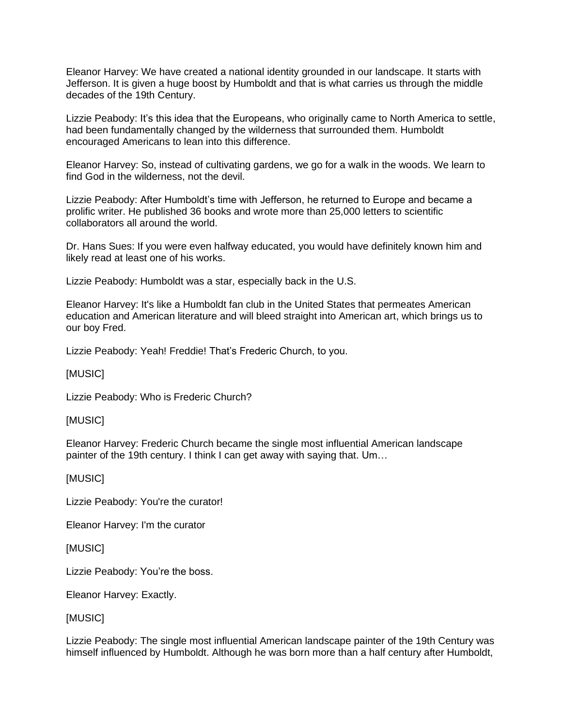Eleanor Harvey: We have created a national identity grounded in our landscape. It starts with Jefferson. It is given a huge boost by Humboldt and that is what carries us through the middle decades of the 19th Century.

Lizzie Peabody: It's this idea that the Europeans, who originally came to North America to settle, had been fundamentally changed by the wilderness that surrounded them. Humboldt encouraged Americans to lean into this difference.

Eleanor Harvey: So, instead of cultivating gardens, we go for a walk in the woods. We learn to find God in the wilderness, not the devil.

Lizzie Peabody: After Humboldt's time with Jefferson, he returned to Europe and became a prolific writer. He published 36 books and wrote more than 25,000 letters to scientific collaborators all around the world.

Dr. Hans Sues: If you were even halfway educated, you would have definitely known him and likely read at least one of his works.

Lizzie Peabody: Humboldt was a star, especially back in the U.S.

Eleanor Harvey: It's like a Humboldt fan club in the United States that permeates American education and American literature and will bleed straight into American art, which brings us to our boy Fred.

Lizzie Peabody: Yeah! Freddie! That's Frederic Church, to you.

[MUSIC]

Lizzie Peabody: Who is Frederic Church?

### [MUSIC]

Eleanor Harvey: Frederic Church became the single most influential American landscape painter of the 19th century. I think I can get away with saying that. Um…

# [MUSIC]

Lizzie Peabody: You're the curator!

Eleanor Harvey: I'm the curator

[MUSIC]

Lizzie Peabody: You're the boss.

Eleanor Harvey: Exactly.

### [MUSIC]

Lizzie Peabody: The single most influential American landscape painter of the 19th Century was himself influenced by Humboldt. Although he was born more than a half century after Humboldt,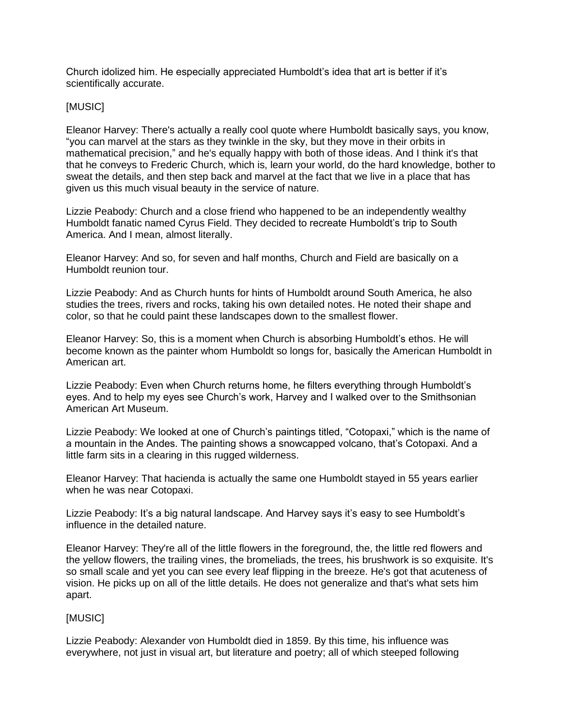Church idolized him. He especially appreciated Humboldt's idea that art is better if it's scientifically accurate.

# [MUSIC]

Eleanor Harvey: There's actually a really cool quote where Humboldt basically says, you know, "you can marvel at the stars as they twinkle in the sky, but they move in their orbits in mathematical precision," and he's equally happy with both of those ideas. And I think it's that that he conveys to Frederic Church, which is, learn your world, do the hard knowledge, bother to sweat the details, and then step back and marvel at the fact that we live in a place that has given us this much visual beauty in the service of nature.

Lizzie Peabody: Church and a close friend who happened to be an independently wealthy Humboldt fanatic named Cyrus Field. They decided to recreate Humboldt's trip to South America. And I mean, almost literally.

Eleanor Harvey: And so, for seven and half months, Church and Field are basically on a Humboldt reunion tour.

Lizzie Peabody: And as Church hunts for hints of Humboldt around South America, he also studies the trees, rivers and rocks, taking his own detailed notes. He noted their shape and color, so that he could paint these landscapes down to the smallest flower.

Eleanor Harvey: So, this is a moment when Church is absorbing Humboldt's ethos. He will become known as the painter whom Humboldt so longs for, basically the American Humboldt in American art.

Lizzie Peabody: Even when Church returns home, he filters everything through Humboldt's eyes. And to help my eyes see Church's work, Harvey and I walked over to the Smithsonian American Art Museum.

Lizzie Peabody: We looked at one of Church's paintings titled, "Cotopaxi," which is the name of a mountain in the Andes. The painting shows a snowcapped volcano, that's Cotopaxi. And a little farm sits in a clearing in this rugged wilderness.

Eleanor Harvey: That hacienda is actually the same one Humboldt stayed in 55 years earlier when he was near Cotopaxi.

Lizzie Peabody: It's a big natural landscape. And Harvey says it's easy to see Humboldt's influence in the detailed nature.

Eleanor Harvey: They're all of the little flowers in the foreground, the, the little red flowers and the yellow flowers, the trailing vines, the bromeliads, the trees, his brushwork is so exquisite. It's so small scale and yet you can see every leaf flipping in the breeze. He's got that acuteness of vision. He picks up on all of the little details. He does not generalize and that's what sets him apart.

# [MUSIC]

Lizzie Peabody: Alexander von Humboldt died in 1859. By this time, his influence was everywhere, not just in visual art, but literature and poetry; all of which steeped following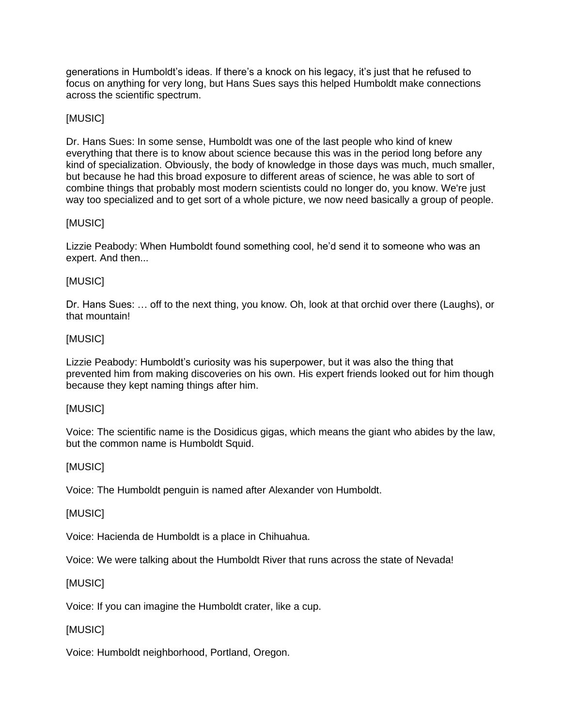generations in Humboldt's ideas. If there's a knock on his legacy, it's just that he refused to focus on anything for very long, but Hans Sues says this helped Humboldt make connections across the scientific spectrum.

# [MUSIC]

Dr. Hans Sues: In some sense, Humboldt was one of the last people who kind of knew everything that there is to know about science because this was in the period long before any kind of specialization. Obviously, the body of knowledge in those days was much, much smaller, but because he had this broad exposure to different areas of science, he was able to sort of combine things that probably most modern scientists could no longer do, you know. We're just way too specialized and to get sort of a whole picture, we now need basically a group of people.

# [MUSIC]

Lizzie Peabody: When Humboldt found something cool, he'd send it to someone who was an expert. And then...

# [MUSIC]

Dr. Hans Sues: … off to the next thing, you know. Oh, look at that orchid over there (Laughs), or that mountain!

# [MUSIC]

Lizzie Peabody: Humboldt's curiosity was his superpower, but it was also the thing that prevented him from making discoveries on his own. His expert friends looked out for him though because they kept naming things after him.

# [MUSIC]

Voice: The scientific name is the Dosidicus gigas, which means the giant who abides by the law, but the common name is Humboldt Squid.

# [MUSIC]

Voice: The Humboldt penguin is named after Alexander von Humboldt.

# [MUSIC]

Voice: Hacienda de Humboldt is a place in Chihuahua.

Voice: We were talking about the Humboldt River that runs across the state of Nevada!

# [MUSIC]

Voice: If you can imagine the Humboldt crater, like a cup.

# [MUSIC]

Voice: Humboldt neighborhood, Portland, Oregon.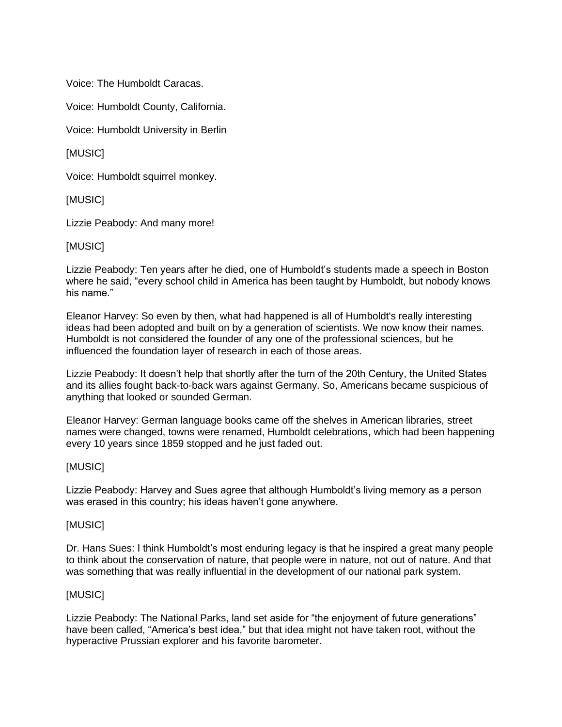Voice: The Humboldt Caracas.

Voice: Humboldt County, California.

Voice: Humboldt University in Berlin

[MUSIC]

Voice: Humboldt squirrel monkey.

[MUSIC]

Lizzie Peabody: And many more!

[MUSIC]

Lizzie Peabody: Ten years after he died, one of Humboldt's students made a speech in Boston where he said, "every school child in America has been taught by Humboldt, but nobody knows his name."

Eleanor Harvey: So even by then, what had happened is all of Humboldt's really interesting ideas had been adopted and built on by a generation of scientists. We now know their names. Humboldt is not considered the founder of any one of the professional sciences, but he influenced the foundation layer of research in each of those areas.

Lizzie Peabody: It doesn't help that shortly after the turn of the 20th Century, the United States and its allies fought back-to-back wars against Germany. So, Americans became suspicious of anything that looked or sounded German.

Eleanor Harvey: German language books came off the shelves in American libraries, street names were changed, towns were renamed, Humboldt celebrations, which had been happening every 10 years since 1859 stopped and he just faded out.

### [MUSIC]

Lizzie Peabody: Harvey and Sues agree that although Humboldt's living memory as a person was erased in this country; his ideas haven't gone anywhere.

### [MUSIC]

Dr. Hans Sues: I think Humboldt's most enduring legacy is that he inspired a great many people to think about the conservation of nature, that people were in nature, not out of nature. And that was something that was really influential in the development of our national park system.

# [MUSIC]

Lizzie Peabody: The National Parks, land set aside for "the enjoyment of future generations" have been called, "America's best idea," but that idea might not have taken root, without the hyperactive Prussian explorer and his favorite barometer.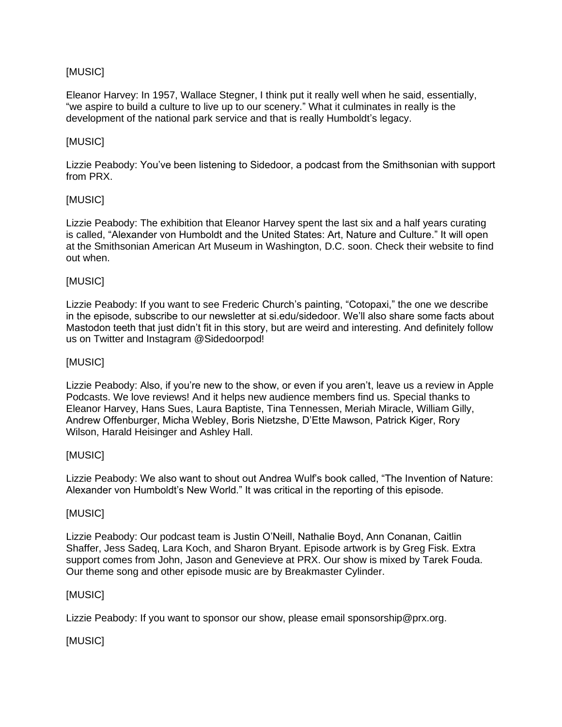# [MUSIC]

Eleanor Harvey: In 1957, Wallace Stegner, I think put it really well when he said, essentially, "we aspire to build a culture to live up to our scenery." What it culminates in really is the development of the national park service and that is really Humboldt's legacy.

# [MUSIC]

Lizzie Peabody: You've been listening to Sidedoor, a podcast from the Smithsonian with support from PRX.

# [MUSIC]

Lizzie Peabody: The exhibition that Eleanor Harvey spent the last six and a half years curating is called, "Alexander von Humboldt and the United States: Art, Nature and Culture." It will open at the Smithsonian American Art Museum in Washington, D.C. soon. Check their website to find out when.

# [MUSIC]

Lizzie Peabody: If you want to see Frederic Church's painting, "Cotopaxi," the one we describe in the episode, subscribe to our newsletter at si.edu/sidedoor. We'll also share some facts about Mastodon teeth that just didn't fit in this story, but are weird and interesting. And definitely follow us on Twitter and Instagram @Sidedoorpod!

### [MUSIC]

Lizzie Peabody: Also, if you're new to the show, or even if you aren't, leave us a review in Apple Podcasts. We love reviews! And it helps new audience members find us. Special thanks to Eleanor Harvey, Hans Sues, Laura Baptiste, Tina Tennessen, Meriah Miracle, William Gilly, Andrew Offenburger, Micha Webley, Boris Nietzshe, D'Ette Mawson, Patrick Kiger, Rory Wilson, Harald Heisinger and Ashley Hall.

# [MUSIC]

Lizzie Peabody: We also want to shout out Andrea Wulf's book called, "The Invention of Nature: Alexander von Humboldt's New World." It was critical in the reporting of this episode.

### [MUSIC]

Lizzie Peabody: Our podcast team is Justin O'Neill, Nathalie Boyd, Ann Conanan, Caitlin Shaffer, Jess Sadeq, Lara Koch, and Sharon Bryant. Episode artwork is by Greg Fisk. Extra support comes from John, Jason and Genevieve at PRX. Our show is mixed by Tarek Fouda. Our theme song and other episode music are by Breakmaster Cylinder.

### [MUSIC]

Lizzie Peabody: If you want to sponsor our show, please email sponsorship@prx.org.

[MUSIC]